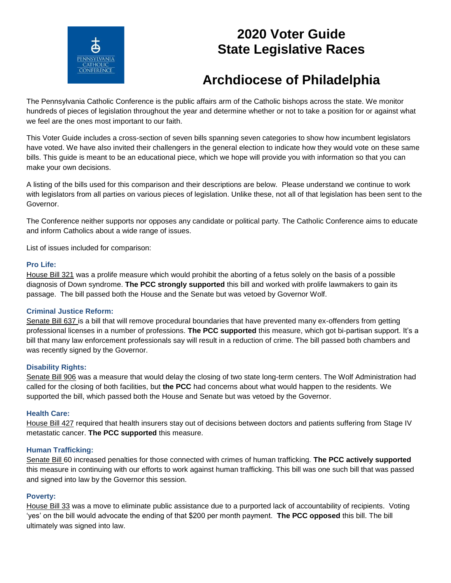

# **2020 Voter Guide State Legislative Races**

# **Archdiocese of Philadelphia**

The Pennsylvania Catholic Conference is the public affairs arm of the Catholic bishops across the state. We monitor hundreds of pieces of legislation throughout the year and determine whether or not to take a position for or against what we feel are the ones most important to our faith.

This Voter Guide includes a cross-section of seven bills spanning seven categories to show how incumbent legislators have voted. We have also invited their challengers in the general election to indicate how they would vote on these same bills. This guide is meant to be an educational piece, which we hope will provide you with information so that you can make your own decisions.

A listing of the bills used for this comparison and their descriptions are below. Please understand we continue to work with legislators from all parties on various pieces of legislation. Unlike these, not all of that legislation has been sent to the Governor.

The Conference neither supports nor opposes any candidate or political party. The Catholic Conference aims to educate and inform Catholics about a wide range of issues.

List of issues included for comparison:

#### **Pro Life:**

House Bill 321 was a prolife measure which would prohibit the aborting of a fetus solely on the basis of a possible diagnosis of Down syndrome. **The PCC strongly supported** this bill and worked with prolife lawmakers to gain its passage. The bill passed both the House and the Senate but was vetoed by Governor Wolf.

### **Criminal Justice Reform:**

Senate Bill 637 is a bill that will remove procedural boundaries that have prevented many ex-offenders from getting professional licenses in a number of professions. **The PCC supported** this measure, which got bi-partisan support. It's a bill that many law enforcement professionals say will result in a reduction of crime. The bill passed both chambers and was recently signed by the Governor.

#### **Disability Rights:**

Senate Bill 906 was a measure that would delay the closing of two state long-term centers. The Wolf Administration had called for the closing of both facilities, but **the PCC** had concerns about what would happen to the residents. We supported the bill, which passed both the House and Senate but was vetoed by the Governor.

#### **Health Care:**

House Bill 427 required that health insurers stay out of decisions between doctors and patients suffering from Stage IV metastatic cancer. **The PCC supported** this measure.

#### **Human Trafficking:**

Senate Bill 60 increased penalties for those connected with crimes of human trafficking. **The PCC actively supported** this measure in continuing with our efforts to work against human trafficking. This bill was one such bill that was passed and signed into law by the Governor this session.

#### **Poverty:**

House Bill 33 was a move to eliminate public assistance due to a purported lack of accountability of recipients. Voting 'yes' on the bill would advocate the ending of that \$200 per month payment. **The PCC opposed** this bill. The bill ultimately was signed into law.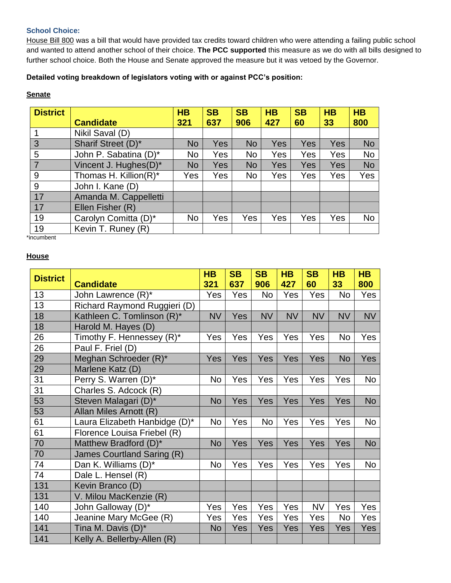## **School Choice:**

House Bill 800 was a bill that would have provided tax credits toward children who were attending a failing public school and wanted to attend another school of their choice. **The PCC supported** this measure as we do with all bills designed to further school choice. Both the House and Senate approved the measure but it was vetoed by the Governor.

**Detailed voting breakdown of legislators voting with or against PCC's position:**

# **Senate**

| <b>District</b> |                       | HB        | <b>SB</b>  | <b>SB</b> | <b>HB</b> | <b>SB</b>  | <b>HB</b>  | <b>HB</b> |
|-----------------|-----------------------|-----------|------------|-----------|-----------|------------|------------|-----------|
|                 | <b>Candidate</b>      | 321       | 637        | 906       | 427       | 60         | 33         | 800       |
|                 | Nikil Saval (D)       |           |            |           |           |            |            |           |
| 3               | Sharif Street (D)*    | <b>No</b> | <b>Yes</b> | <b>No</b> | Yes       | <b>Yes</b> | <b>Yes</b> | <b>No</b> |
| 5               | John P. Sabatina (D)* | No        | Yes        | No.       | Yes       | Yes        | Yes        | <b>No</b> |
| $\overline{7}$  | Vincent J. Hughes(D)* | No        | Yes        | <b>No</b> | Yes       | Yes        | <b>Yes</b> | <b>No</b> |
| 9               | Thomas H. Killion(R)* | Yes       | Yes        | No.       | Yes       | Yes        | Yes        | Yes       |
| 9               | John I. Kane (D)      |           |            |           |           |            |            |           |
| 17              | Amanda M. Cappelletti |           |            |           |           |            |            |           |
| 17              | Ellen Fisher (R)      |           |            |           |           |            |            |           |
| 19              | Carolyn Comitta (D)*  | <b>No</b> | Yes        | Yes       | Yes       | Yes        | Yes        | <b>No</b> |
| 19              | Kevin T. Runey (R)    |           |            |           |           |            |            |           |

\*incumbent

### **House**

| <b>District</b> | <b>Candidate</b>              | <b>HB</b><br>321 | <b>SB</b><br>637 | <b>SB</b><br>906 | <b>HB</b><br>427 | <b>SB</b><br>60 | <b>HB</b><br>33 | <b>HB</b><br>800 |
|-----------------|-------------------------------|------------------|------------------|------------------|------------------|-----------------|-----------------|------------------|
| 13              | John Lawrence (R)*            | Yes              | Yes              | <b>No</b>        | Yes              | Yes             | <b>No</b>       | Yes              |
| 13              | Richard Raymond Ruggieri (D)  |                  |                  |                  |                  |                 |                 |                  |
| 18              | Kathleen C. Tomlinson (R)*    | <b>NV</b>        | Yes              | <b>NV</b>        | <b>NV</b>        | <b>NV</b>       | <b>NV</b>       | <b>NV</b>        |
| 18              | Harold M. Hayes (D)           |                  |                  |                  |                  |                 |                 |                  |
| 26              | Timothy F. Hennessey (R)*     | Yes              | Yes              | Yes              | Yes              | Yes             | <b>No</b>       | Yes              |
| 26              | Paul F. Friel (D)             |                  |                  |                  |                  |                 |                 |                  |
| 29              | Meghan Schroeder (R)*         | Yes              | Yes              | Yes              | Yes              | Yes             | <b>No</b>       | Yes              |
| 29              | Marlene Katz (D)              |                  |                  |                  |                  |                 |                 |                  |
| 31              | Perry S. Warren (D)*          | No               | Yes              | Yes              | Yes              | Yes             | Yes             | No               |
| 31              | Charles S. Adcock (R)         |                  |                  |                  |                  |                 |                 |                  |
| 53              | Steven Malagari (D)*          | <b>No</b>        | Yes              | Yes              | Yes              | Yes             | Yes             | <b>No</b>        |
| 53              | Allan Miles Arnott (R)        |                  |                  |                  |                  |                 |                 |                  |
| 61              | Laura Elizabeth Hanbidge (D)* | <b>No</b>        | Yes              | No               | Yes              | Yes             | Yes             | <b>No</b>        |
| 61              | Florence Louisa Friebel (R)   |                  |                  |                  |                  |                 |                 |                  |
| 70              | Matthew Bradford (D)*         | <b>No</b>        | Yes              | Yes              | Yes              | Yes             | Yes             | <b>No</b>        |
| 70              | James Courtland Saring (R)    |                  |                  |                  |                  |                 |                 |                  |
| 74              | Dan K. Williams (D)*          | <b>No</b>        | Yes              | Yes              | Yes              | Yes             | Yes             | No               |
| 74              | Dale L. Hensel (R)            |                  |                  |                  |                  |                 |                 |                  |
| 131             | Kevin Branco (D)              |                  |                  |                  |                  |                 |                 |                  |
| 131             | V. Milou MacKenzie (R)        |                  |                  |                  |                  |                 |                 |                  |
| 140             | John Galloway (D)*            | Yes              | Yes              | Yes              | Yes              | <b>NV</b>       | Yes             | Yes              |
| 140             | Jeanine Mary McGee (R)        | Yes              | Yes              | Yes              | Yes              | Yes             | No              | Yes              |
| 141             | Tina M. Davis (D)*            | <b>No</b>        | Yes              | Yes              | Yes              | Yes             | Yes             | Yes              |
| 141             | Kelly A. Bellerby-Allen (R)   |                  |                  |                  |                  |                 |                 |                  |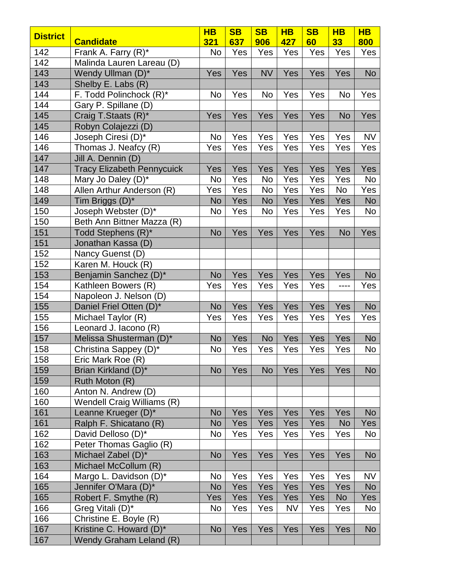| <b>District</b> |                                   | $H$ B     | <b>SB</b>  | <b>SB</b> | $\overline{\mathsf{HB}}$ | <b>SB</b> | $H$ B     | $\overline{\mathsf{HB}}$ |
|-----------------|-----------------------------------|-----------|------------|-----------|--------------------------|-----------|-----------|--------------------------|
|                 | <b>Candidate</b>                  | 321       | 637        | 906       | 427                      | 60        | 33        | 800                      |
| 142             | Frank A. Farry (R)*               | No        | Yes        | Yes       | Yes                      | Yes       | Yes       | Yes                      |
| 142             | Malinda Lauren Lareau (D)         |           |            |           |                          |           |           |                          |
| 143             | Wendy Ullman (D)*                 | Yes       | Yes        | <b>NV</b> | Yes                      | Yes       | Yes       | <b>No</b>                |
| 143             | Shelby E. Labs (R)                |           |            |           |                          |           |           |                          |
| 144             | F. Todd Polinchock (R)*           | <b>No</b> | Yes        | No        | Yes                      | Yes       | No        | Yes                      |
| 144             | Gary P. Spillane (D)              |           |            |           |                          |           |           |                          |
| 145             | Craig T.Staats (R)*               | Yes       | Yes        | Yes       | Yes                      | Yes       | <b>No</b> | Yes                      |
| 145             | Robyn Colajezzi (D)               |           |            |           |                          |           |           |                          |
| 146             | Joseph Ciresi (D)*                | <b>No</b> | Yes        | Yes       | Yes                      | Yes       | Yes       | <b>NV</b>                |
| 146             | Thomas J. Neafcy (R)              | Yes       | Yes        | Yes       | Yes                      | Yes       | Yes       | Yes                      |
| 147             | Jill A. Dennin (D)                |           |            |           |                          |           |           |                          |
| 147             | <b>Tracy Elizabeth Pennycuick</b> | Yes       | Yes        | Yes       | Yes                      | Yes       | Yes       | <b>Yes</b>               |
| 148             | Mary Jo Daley (D)*                | <b>No</b> | Yes        | <b>No</b> | Yes                      | Yes       | Yes       | <b>No</b>                |
| 148             | Allen Arthur Anderson (R)         | Yes       | Yes        | No        | Yes                      | Yes       | No        | Yes                      |
| 149             | Tim Briggs (D)*                   | <b>No</b> | Yes        | <b>No</b> | Yes                      | Yes       | Yes       | <b>No</b>                |
| 150             | Joseph Webster (D)*               | No        | Yes        | No        | Yes                      | Yes       | Yes       | No                       |
| 150             | Beth Ann Bittner Mazza (R)        |           |            |           |                          |           |           |                          |
| 151             | Todd Stephens (R)*                | <b>No</b> | Yes        | Yes       | Yes                      | Yes       | <b>No</b> | Yes                      |
| 151             | Jonathan Kassa (D)                |           |            |           |                          |           |           |                          |
| 152             | Nancy Guenst (D)                  |           |            |           |                          |           |           |                          |
| 152             | Karen M. Houck (R)                |           |            |           |                          |           |           |                          |
| 153             | Benjamin Sanchez (D)*             | <b>No</b> | Yes        | Yes       | Yes                      | Yes       | Yes       | <b>No</b>                |
| 154             | Kathleen Bowers (R)               | Yes       | Yes        | Yes       | Yes                      | Yes       | ----      | Yes                      |
| 154             | Napoleon J. Nelson (D)            |           |            |           |                          |           |           |                          |
| 155             | Daniel Friel Otten (D)*           | <b>No</b> | Yes        | Yes       | Yes                      | Yes       | Yes       | <b>No</b>                |
| 155             | Michael Taylor (R)                | Yes       | Yes        | Yes       | Yes                      | Yes       | Yes       | Yes                      |
| 156             | Leonard J. Iacono (R)             |           |            |           |                          |           |           |                          |
| 157             | Melissa Shusterman (D)*           | <b>No</b> | Yes        | <b>No</b> | Yes                      | Yes       | Yes       | <b>No</b>                |
| 158             | Christina Sappey (D)*             | No        | Yes        | Yes       | Yes                      | Yes       | Yes       | No                       |
| 158             | Eric Mark Roe (R)                 |           |            |           |                          |           |           |                          |
| 159             | Brian Kirkland (D)*               | <b>No</b> | Yes        | <b>No</b> | Yes                      | Yes       | Yes       | <b>No</b>                |
| 159             | Ruth Moton (R)                    |           |            |           |                          |           |           |                          |
| 160             | Anton N. Andrew (D)               |           |            |           |                          |           |           |                          |
| 160             | Wendell Craig Williams (R)        |           |            |           |                          |           |           |                          |
| 161             | Leanne Krueger (D)*               | <b>No</b> | <b>Yes</b> | Yes       | Yes                      | Yes       | Yes       | <b>No</b>                |
| 161             | Ralph F. Shicatano (R)            | <b>No</b> | Yes        | Yes       | Yes                      | Yes       | <b>No</b> | <b>Yes</b>               |
| 162             | David Delloso (D)*                | No        | Yes        | Yes       | Yes                      | Yes       | Yes       | No                       |
| 162             | Peter Thomas Gaglio (R)           |           |            |           |                          |           |           |                          |
| 163             | Michael Zabel (D)*                | No        | Yes        | Yes       | Yes                      | Yes       | Yes       | <b>No</b>                |
| 163             | Michael McCollum (R)              |           |            |           |                          |           |           |                          |
| 164             | Margo L. Davidson (D)*            | No        | Yes        | Yes       | Yes                      | Yes       | Yes       | <b>NV</b>                |
| 165             | Jennifer O'Mara (D)*              | <b>No</b> | Yes        | Yes       | Yes                      | Yes       | Yes       | <b>No</b>                |
| 165             | Robert F. Smythe (R)              | Yes       | Yes        | Yes       | Yes                      | Yes       | <b>No</b> | Yes                      |
| 166             | Greg Vitali (D)*                  | No        | Yes        | Yes       | <b>NV</b>                | Yes       | Yes       | No                       |
| 166             | Christine E. Boyle (R)            |           |            |           |                          |           |           |                          |
| 167             | Kristine C. Howard (D)*           | <b>No</b> | Yes        | Yes       | Yes                      | Yes       | Yes       | No                       |
| 167             | Wendy Graham Leland (R)           |           |            |           |                          |           |           |                          |